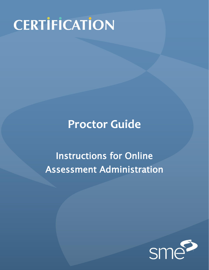# **CERTIFICATION**

# **Proctor Guide**

# Instructions for Online Assessment Administration

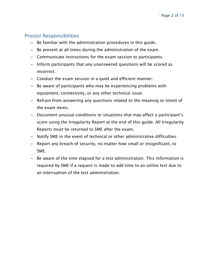## Proctor Responsibilities

- Be familiar with the administration procedures in this guide.
- Be present at all times during the administration of the exam.
- Communicate instructions for the exam session to participants.
- Inform participants that any unanswered questions will be scored as incorrect.
- Conduct the exam session in a quiet and efficient manner.
- Be aware of participants who may be experiencing problems with equipment, connectivity, or any other technical issue.
- Refrain from answering any questions related to the meaning or intent of the exam items.
- Document unusual conditions or situations that may affect a participant's score using the Irregularity Report at the end of this guide. All Irregularity Reports must be returned to SME after the exam.
- Notify SME in the event of technical or other administrative difficulties.
- Report any breach of security, no matter how small or insignificant, to SME.
- Be aware of the time elapsed for a test administration. This information is required by SME if a request is made to add time to an online test due to an interruption of the test administration.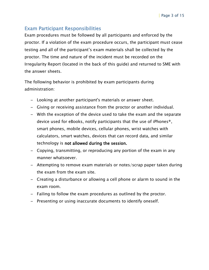# Exam Participant Responsibilities

Exam procedures must be followed by all participants and enforced by the proctor. If a violation of the exam procedure occurs, the participant must cease testing and all of the participant's exam materials shall be collected by the proctor. The time and nature of the incident must be recorded on the Irregularity Report (located in the back of this guide) and returned to SME with the answer sheets.

The following behavior is prohibited by exam participants during administration:

- Looking at another participant's materials or answer sheet.
- Giving or receiving assistance from the proctor or another individual.
- With the exception of the device used to take the exam and the separate device used for eBooks, notify participants that the use of iPhones®, smart phones, mobile devices, cellular phones, wrist watches with calculators, smart watches, devices that can record data, and similar technology is not allowed during the session.
- Copying, transmitting, or reproducing any portion of the exam in any manner whatsoever.
- Attempting to remove exam materials or notes/scrap paper taken during the exam from the exam site.
- Creating a disturbance or allowing a cell phone or alarm to sound in the exam room.
- Failing to follow the exam procedures as outlined by the proctor.
- Presenting or using inaccurate documents to identify oneself.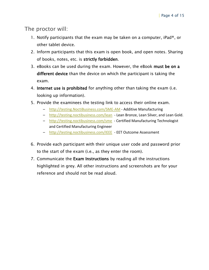The proctor will:

- 1. Notify participants that the exam may be taken on a computer, iPad<sup>®</sup>, or other tablet device.
- 2. Inform participants that this exam is open book, and open notes. Sharing of books, notes, etc. is strictly forbidden.
- 3. eBooks can be used during the exam. However, the eBook must be on a different device than the device on which the participant is taking the exam.
- 4. Internet use is prohibited for anything other than taking the exam (i.e. looking up information).
- 5. Provide the examinees the testing link to access their online exam.
	- [http://testing.NoctiBusiness.com/SME-AM](http://testing.noctibusiness.com/SME-AM) Additive Manufacturing
	- <http://testing.noctibusiness.com/lean> Lean Bronze, Lean Silver, and Lean Gold.
	- <http://testing.noctibusiness.com/sme> Certified Manufacturing Technologist and Certified Manufacturing Engineer
	- <http://testing.noctibusiness.com/IEEE> EET Outcome Assessment
- 6. Provide each participant with their unique user code and password prior to the start of the exam (i.e., as they enter the room).
- 7. Communicate the Exam Instructions by reading all the instructions highlighted in grey. All other instructions and screenshots are for your reference and should not be read aloud.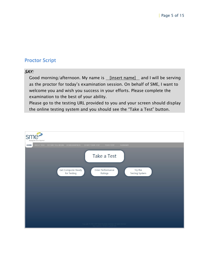# Proctor Script

#### SAY:

Good morning/afternoon. My name is *[insert name]* and I will be serving as the proctor for today's examination session. On behalf of SME, I want to welcome you and wish you success in your efforts. Please complete the examination to the best of your ability.

Please go to the testing URL provided to you and your screen should display the online testing system and you should see the "Take a Test" button.

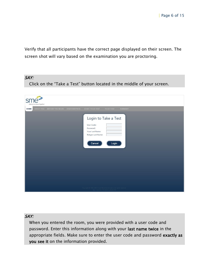Verify that all participants have the correct page displayed on their screen. The screen shot will vary based on the examination you are proctoring.

#### SAY:

Click on the "Take a Test" button located in the middle of your screen.

| Making the future. Together." |                                                                           |                                                                                                              |  |
|-------------------------------|---------------------------------------------------------------------------|--------------------------------------------------------------------------------------------------------------|--|
| ABOUT YOU<br><b>HOME</b>      | BEFORE YOU BEGIN DEMOGRAPHICS<br>START YOUR TEST                          | YOUR TEST<br><b>SUMMARY</b>                                                                                  |  |
|                               | User Code:<br>Password:<br>Your Last Name:<br>Retype Last Name:<br>Cancel | Login to Take a Test<br>Login                                                                                |  |
|                               |                                                                           | Copyright © 2001-2015. Nocti Business Solutions: All rights reserved.<br>App v4.2.0.23, 7/8/2015 11:41:08 AM |  |

#### SAY:

When you entered the room, you were provided with a user code and password. Enter this information along with your last name twice in the appropriate fields. Make sure to enter the user code and password exactly as you see it on the information provided.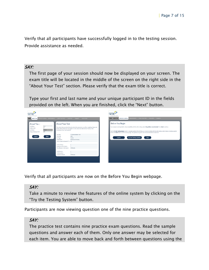Verify that all participants have successfully logged in to the testing session. Provide assistance as needed.

#### SAY:

The first page of your session should now be displayed on your screen. The exam title will be located in the middle of the screen on the right side in the "About Your Test" section. Please verify that the exam title is correct.

Type your first and last name and your unique participant ID in the fields provided on the left. When you are finished, click the "Next" button.

| Moking the KAye. Topefler."                                                                                                                                                                                                                                                                                                                                                                                                                                                                                                                                                                                                |                                                                                                                                                                                                                                                                                                                            | Moting for Julian, TopyMent                                                                                                                                                                                                                                                                                                                                                                                                                                                                                                                                                    |
|----------------------------------------------------------------------------------------------------------------------------------------------------------------------------------------------------------------------------------------------------------------------------------------------------------------------------------------------------------------------------------------------------------------------------------------------------------------------------------------------------------------------------------------------------------------------------------------------------------------------------|----------------------------------------------------------------------------------------------------------------------------------------------------------------------------------------------------------------------------------------------------------------------------------------------------------------------------|--------------------------------------------------------------------------------------------------------------------------------------------------------------------------------------------------------------------------------------------------------------------------------------------------------------------------------------------------------------------------------------------------------------------------------------------------------------------------------------------------------------------------------------------------------------------------------|
| EFORE YOU BEGIN DEMOSRUPHICS START YOUR TEST YOUR TEST SUMMARY YOUR SCORE<br>HOME ABOUT YOU<br><b>About Your Test</b><br>About You ?<br><b>First Name</b><br>Arne<br>Middle Initial<br><b>Gielczyk</b><br><b>Last Name</b><br>Coordinator) if you have questions.<br><b>Unique Participant ID?</b><br>SME<br>Test Title:<br><b>Test Code:</b><br>Next<br>Logout<br><b>Test Type:</b><br>Classification:<br>Text-to-Speech Activated (TTS): No<br><b>Current Session:</b><br>Questions in This Session:<br>Time Allowed in this Session:<br><b>Total Sessions:</b><br><b>Total Questions:</b><br><b>Total Time Allowed:</b> | The section below provides information about the assessment you will be completing. Please note<br>the test title to ensure you are logged in to the correct test. Alert the Test Proctor (or Site<br><b>TTS Demonstration Test</b><br>9000<br>Practice<br><b>Business and Industry</b><br><b>20 Minutes</b><br>60 Minutes | HOME ABOUT YOU BEFORE YOU BEGIN<br>SEMAGEMENTS THET TOUR TEST VOUR TEST SUMMER<br>Before You Begin<br>Your computer was inspected to verify compatibility with the online testing system. No problems were detected. Press Next to continue.<br>Use the Try the Testing System button to navigate questions that will help you to become familiar with the online testing system features, including question<br>format, the Mark feature, and the summary page. The questions are generic and not associated with an actual test.<br>Try the Testing System<br>Next<br>Logout |
|                                                                                                                                                                                                                                                                                                                                                                                                                                                                                                                                                                                                                            |                                                                                                                                                                                                                                                                                                                            |                                                                                                                                                                                                                                                                                                                                                                                                                                                                                                                                                                                |

Verify that all participants are now on the Before You Begin webpage.

#### SAY:

Take a minute to review the features of the online system by clicking on the "Try the Testing System" button.

Participants are now viewing question one of the nine practice questions.

#### SAY:

The practice test contains nine practice exam questions. Read the sample questions and answer each of them. Only one answer may be selected for each item. You are able to move back and forth between questions using the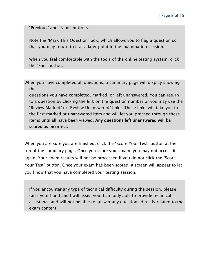"Previous" and "Next" buttons.

Note the "Mark This Question" box, which allows you to flag a question so that you may return to it at a later point in the examination session.

When you feel comfortable with the tools of the online testing system, click the "End" button.

When you have completed all questions, a summary page will display showing the

questions you have completed, marked, or left unanswered. You can return to a question by clicking the link on the question number or you may use the "Review Marked" or "Review Unanswered" links. These links will take you to the first marked or unanswered item and will let you proceed through these items until all have been viewed. Any questions left unanswered will be scored as incorrect.

When you are sure you are finished, click the "Score Your Test" button at the top of the summary page. Once you score your exam, you may not access it again. Your exam results will not be processed if you do not click the "Score Your Test" button. Once your exam has been scored, a screen will appear to let you know that you have completed your testing session.

If you encounter any type of technical difficulty during the session, please raise your hand and I will assist you. I am only able to provide technical assistance and will not be able to answer any questions directly related to the exam content.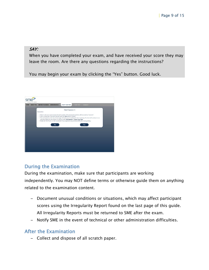#### SAY:

When you have completed your exam, and have received your score they may leave the room. Are there any questions regarding the instructions?

You may begin your exam by clicking the "Yes" button. Good luck.



# During the Examination

During the examination, make sure that participants are working independently. You may NOT define terms or otherwise guide them on anything related to the examination content.

- Document unusual conditions or situations, which may affect participant scores using the Irregularity Report found on the last page of this guide. All Irregularity Reports must be returned to SME after the exam.
- Notify SME in the event of technical or other administration difficulties.

### After the Examination

– Collect and dispose of all scratch paper.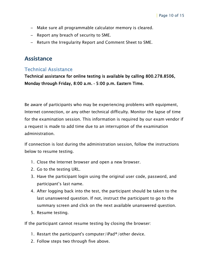- Make sure all programmable calculator memory is cleared.
- Report any breach of security to SME.
- Return the Irregularity Report and Comment Sheet to SME.

# **Assistance**

# Technical Assistance

Technical assistance for online testing is available by calling 800.278.8506, Monday through Friday, 8:00 a.m. **–** 5:00 p.m. Eastern Time.

Be aware of participants who may be experiencing problems with equipment, Internet connection, or any other technical difficulty. Monitor the lapse of time for the examination session. This information is required by our exam vendor if a request is made to add time due to an interruption of the examination administration.

If connection is lost during the administration session, follow the instructions below to resume testing.

- 1. Close the Internet browser and open a new browser.
- 2. Go to the testing URL.
- 3. Have the participant login using the original user code, password, and participant's last name.
- 4. After logging back into the test, the participant should be taken to the last unanswered question. If not, instruct the participant to go to the summary screen and click on the next available unanswered question.
- 5. Resume testing.

If the participant cannot resume testing by closing the browser:

- 1. Restart the participant's computer/iPad®/other device.
- 2. Follow steps two through five above.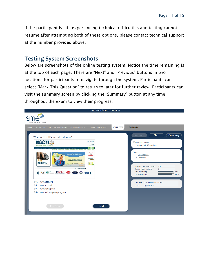If the participant is still experiencing technical difficulties and testing cannot resume after attempting both of these options, please contact technical support at the number provided above.

## **Testing System Screenshots**

Below are screenshots of the online testing system. Notice the time remaining is at the top of each page. There are "Next" and "Previous" buttons in two locations for participants to navigate through the system. Participants can select "Mark This Question" to return to later for further review. Participants can visit the summary screen by clicking the "Summary" button at any time throughout the exam to view their progress.

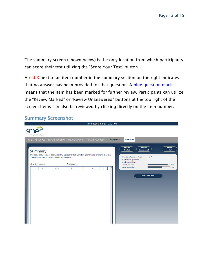The summary screen (shown below) is the only location from which participants can score their test utilizing the "Score Your Test" button.

A red X next to an item number in the summary section on the right indicates that no answer has been provided for that question. A blue question mark means that the item has been marked for further review. Participants can utilize the "Review Marked" or "Review Unanswered" buttons at the top right of the screen. Items can also be reviewed by clicking directly on the item number.

# Summary Screenshot

|                              |                |                                                                                                                                                                                                             |                                |    |                                    |   | Time Remaining: 00:27:04 |           |                                                                                                                                                                                                                                                                                                                   |            |
|------------------------------|----------------|-------------------------------------------------------------------------------------------------------------------------------------------------------------------------------------------------------------|--------------------------------|----|------------------------------------|---|--------------------------|-----------|-------------------------------------------------------------------------------------------------------------------------------------------------------------------------------------------------------------------------------------------------------------------------------------------------------------------|------------|
| Making the future. Together* |                |                                                                                                                                                                                                             |                                |    |                                    |   |                          |           |                                                                                                                                                                                                                                                                                                                   |            |
| Summary<br>$X =$ Unanswered  | $\overline{2}$ | HOME ABOUT YOU BEFORE YOU BEGIN DEMOGRAPHICS<br>This page allows you to easily identify questions that were left unanswered or marked. Click a<br>question number to review individual questions.<br>$3X$ ? | $? =$ Marked<br>$\overline{4}$ | 5? | START YOUR TEST<br>$6\overline{6}$ | Z |                          | YOUR TEST | <b>SUMMARY</b><br><b>Review</b><br><b>Review</b><br><b>Return</b><br>to Test<br><b>Marked</b><br><b>Unanswered</b><br>Questions Answered Total:<br>6 of 7<br><b>Unanswered questions:</b><br>$\mathbf{1}$<br>Marked questions:<br>$\overline{2}$<br>Time Remaining:<br>Items Remaining:<br><b>Score Your Test</b> | 90%<br>14% |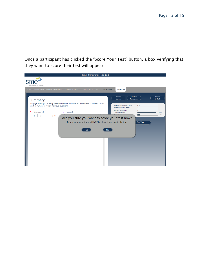Once a participant has clicked the "Score Your Test" button, a box verifying that they want to score their test will appear.

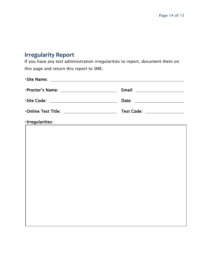# **Irregularity Report**

If you have any test administration irregularities to report, document them on this page and return this report to SME.

|                                                | Email: _________________________ |
|------------------------------------------------|----------------------------------|
| -Site Code: ______________________________     | Date: ________________________   |
| .Online Test Title: __________________________ | Test Code: __________________    |
| ·Irregularities:                               |                                  |